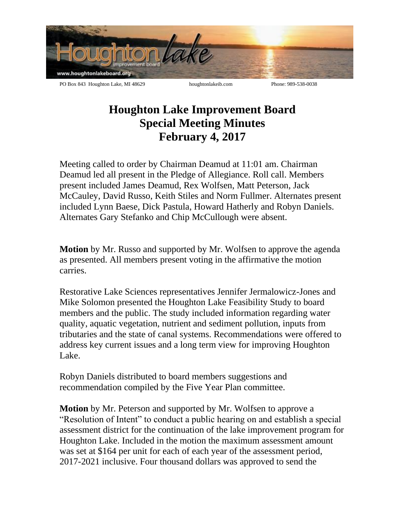

## **Houghton Lake Improvement Board Special Meeting Minutes February 4, 2017**

Meeting called to order by Chairman Deamud at 11:01 am. Chairman Deamud led all present in the Pledge of Allegiance. Roll call. Members present included James Deamud, Rex Wolfsen, Matt Peterson, Jack McCauley, David Russo, Keith Stiles and Norm Fullmer. Alternates present included Lynn Baese, Dick Pastula, Howard Hatherly and Robyn Daniels. Alternates Gary Stefanko and Chip McCullough were absent.

**Motion** by Mr. Russo and supported by Mr. Wolfsen to approve the agenda as presented. All members present voting in the affirmative the motion carries.

Restorative Lake Sciences representatives Jennifer Jermalowicz-Jones and Mike Solomon presented the Houghton Lake Feasibility Study to board members and the public. The study included information regarding water quality, aquatic vegetation, nutrient and sediment pollution, inputs from tributaries and the state of canal systems. Recommendations were offered to address key current issues and a long term view for improving Houghton Lake.

Robyn Daniels distributed to board members suggestions and recommendation compiled by the Five Year Plan committee.

**Motion** by Mr. Peterson and supported by Mr. Wolfsen to approve a "Resolution of Intent" to conduct a public hearing on and establish a special assessment district for the continuation of the lake improvement program for Houghton Lake. Included in the motion the maximum assessment amount was set at \$164 per unit for each of each year of the assessment period, 2017-2021 inclusive. Four thousand dollars was approved to send the